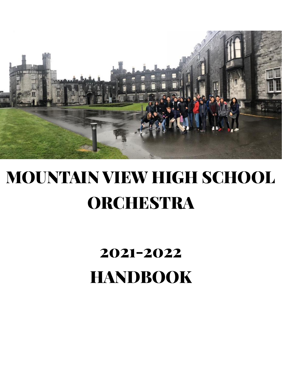

# MOUNTAIN VIEW HIGH SCHOOL ORCHESTRA

## 2021-2022 HANDBOOK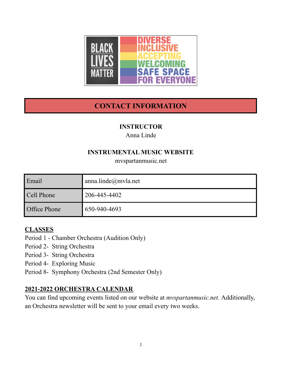

## **CONTACT INFORMATION**

#### **INSTRUCTOR**

Anna Linde

#### **INSTRUMENTAL MUSIC WEBSITE**

mvspartanmusic.net

| Email               | anna.linde $@m$ vla.net |  |  |
|---------------------|-------------------------|--|--|
| Cell Phone          | 206-445-4402            |  |  |
| <b>Office Phone</b> | 650-940-4693            |  |  |

#### **CLASSES**

Period 1 - Chamber Orchestra (Audition Only)

- Period 2- String Orchestra
- Period 3- String Orchestra
- Period 4- Exploring Music
- Period 8- Symphony Orchestra (2nd Semester Only)

#### **2021-2022 ORCHESTRA CALENDAR**

You can find upcoming events listed on our website at *mvspartanmusic.net.* Additionally, an Orchestra newsletter will be sent to your email every two weeks.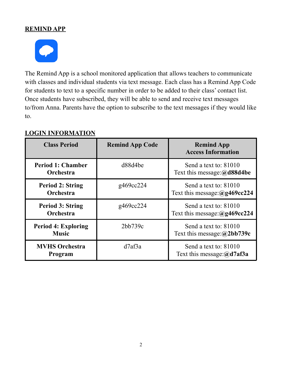#### **REMIND APP**



The Remind App is a school monitored application that allows teachers to communicate with classes and individual students via text message. Each class has a Remind App Code for students to text to a specific number in order to be added to their class' contact list. Once students have subscribed, they will be able to send and receive text messages to/from Anna. Parents have the option to subscribe to the text messages if they would like to.

| <b>Class Period</b>                          | <b>Remind App Code</b> | <b>Remind App</b><br><b>Access Information</b>                                                                                                                                          |  |
|----------------------------------------------|------------------------|-----------------------------------------------------------------------------------------------------------------------------------------------------------------------------------------|--|
| <b>Period 1: Chamber</b><br><b>Orchestra</b> | d88d4be                | Send a text to: 81010<br>Text this message: $(a)$ d88d4be<br>Send a text to: 81010<br>Text this message: $(a)$ g469cc224<br>Send a text to: 81010<br>Text this message: $(a)$ g469cc224 |  |
| <b>Period 2: String</b><br>Orchestra         | g469cc224              |                                                                                                                                                                                         |  |
| <b>Period 3: String</b><br>Orchestra         | g469cc224              |                                                                                                                                                                                         |  |
| <b>Period 4: Exploring</b><br><b>Music</b>   | 2bb739c                | Send a text to: 81010<br>Text this message: $(a)$ 2bb739c                                                                                                                               |  |
| <b>MVHS Orchestra</b><br>Program             | d7af3a                 | Send a text to: 81010<br>Text this message: $(a)$ d7af3a                                                                                                                                |  |

#### **LOGIN INFORMATION**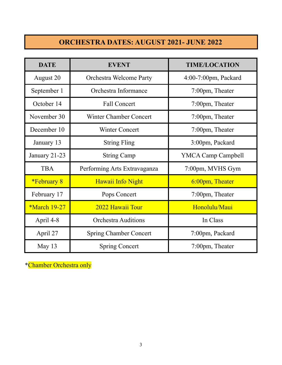## **ORCHESTRA DATES: AUGUST 2021- JUNE 2022**

| <b>DATE</b>         | <b>EVENT</b>                   | <b>TIME/LOCATION</b> |  |  |
|---------------------|--------------------------------|----------------------|--|--|
| August 20           | <b>Orchestra Welcome Party</b> | 4:00-7:00pm, Packard |  |  |
| September 1         | Orchestra Informance           | 7:00pm, Theater      |  |  |
| October 14          | <b>Fall Concert</b>            | 7:00pm, Theater      |  |  |
| November 30         | <b>Winter Chamber Concert</b>  | 7:00pm, Theater      |  |  |
| December 10         | <b>Winter Concert</b>          | 7:00pm, Theater      |  |  |
| January 13          | <b>String Fling</b>            | 3:00pm, Packard      |  |  |
| January 21-23       | <b>String Camp</b>             | YMCA Camp Campbell   |  |  |
| <b>TBA</b>          | Performing Arts Extravaganza   | 7:00pm, MVHS Gym     |  |  |
| <i>*February 8</i>  | Hawaii Info Night              | 6:00pm, Theater      |  |  |
| February 17         | Pops Concert                   | 7:00pm, Theater      |  |  |
| <b>*March 19-27</b> | 2022 Hawaii Tour               | Honolulu/Maui        |  |  |
| April 4-8           | <b>Orchestra Auditions</b>     | In Class             |  |  |
| April 27            | <b>Spring Chamber Concert</b>  | 7:00pm, Packard      |  |  |
| May 13              | <b>Spring Concert</b>          | 7:00pm, Theater      |  |  |

\*Chamber Orchestra only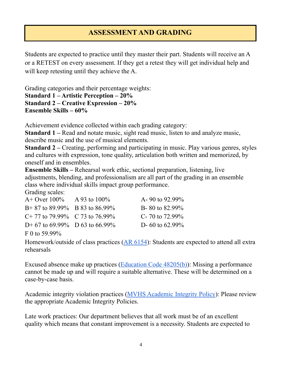## **ASSESSMENT AND GRADING**

Students are expected to practice until they master their part. Students will receive an A or a RETEST on every assessment. If they get a retest they will get individual help and will keep retesting until they achieve the A.

Grading categories and their percentage weights: **Standard 1 – Artistic Perception – 20% Standard 2 – Creative Expression – 20% Ensemble Skills – 60%**

Achievement evidence collected within each grading category:

**Standard 1 –** Read and notate music, sight read music, listen to and analyze music, describe music and the use of musical elements.

**Standard 2 –** Creating, performing and participating in music. Play various genres, styles and cultures with expression, tone quality, articulation both written and memorized, by oneself and in ensembles.

**Ensemble Skills –** Rehearsal work ethic, sectional preparation, listening, live adjustments, blending, and professionalism are all part of the grading in an ensemble class where individual skills impact group performance.

Grading scales:

| A + Over $100\%$ A 93 to $100\%$                                             | A-90 to 92.99%     |
|------------------------------------------------------------------------------|--------------------|
| $B+87$ to 89.99% B 83 to 86.99%                                              | B-80 to $82.99\%$  |
| $C+77$ to 79.99% $C$ 73 to 76.99%                                            | C- 70 to $72.99\%$ |
| D+ 67 to 69.99% D 63 to 66.99%                                               | D- 60 to $62.99\%$ |
| $\Gamma$ $\Lambda$ $\Gamma$ $\Gamma$ $\Lambda$ $\Lambda$ $\Lambda$ $\Lambda$ |                    |

F 0 to 59.99%

Homework/outside of class practices  $(AR 6154)$  $(AR 6154)$  $(AR 6154)$ : Students are expected to attend all extra rehearsals

Excused absence make up practices ([Education](https://drive.google.com/file/d/1AG5VirOQVfjHrj5p4DcIXTZi8aSM2NO4/view?usp=sharing) Code 48205(b)): Missing a performance cannot be made up and will require a suitable alternative. These will be determined on a case-by-case basis.

Academic integrity violation practices (MVHS [Academic](https://drive.google.com/file/d/1TEkBN7vcLr11DlzRqSewfc8LFprUope9/view?usp=sharing) Integrity Policy): Please review the appropriate Academic Integrity Policies.

Late work practices: Our department believes that all work must be of an excellent quality which means that constant improvement is a necessity. Students are expected to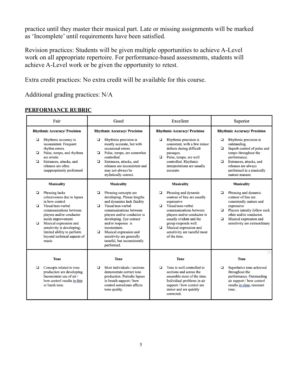practice until they master their musical part. Late or missing assignments will be marked as 'Incomplete' until requirements have been satisfied.

Revision practices: Students will be given multiple opportunities to achieve A-Level work on all appropriate repertoire. For performance-based assessments, students will achieve A-Level work or be given the opportunity to retest.

Extra credit practices: No extra credit will be available for this course.

Additional grading practices: N/A

| Fair                                |                                                                                                                                                                                                                                                                                              | Good             |                                                                                                                                                                                                                                                                                                                                        | Excellent         |                                                                                                                                                                                                                                                                               | Superior          |                                                                                                                                                                                                              |  |
|-------------------------------------|----------------------------------------------------------------------------------------------------------------------------------------------------------------------------------------------------------------------------------------------------------------------------------------------|------------------|----------------------------------------------------------------------------------------------------------------------------------------------------------------------------------------------------------------------------------------------------------------------------------------------------------------------------------------|-------------------|-------------------------------------------------------------------------------------------------------------------------------------------------------------------------------------------------------------------------------------------------------------------------------|-------------------|--------------------------------------------------------------------------------------------------------------------------------------------------------------------------------------------------------------|--|
| <b>Rhythmic Accuracy/ Precision</b> |                                                                                                                                                                                                                                                                                              |                  | <b>Rhythmic Accuracy/ Precision</b>                                                                                                                                                                                                                                                                                                    |                   | <b>Rhythmic Accuracy/ Precision</b>                                                                                                                                                                                                                                           |                   | <b>Rhythmic Accuracy/ Precision</b>                                                                                                                                                                          |  |
| ▫<br>▫<br>▫                         | Rhythmic accuracy is<br>inconsistent. Frequent<br>rhythm errors.<br>Pulse, tempo, and rhythms<br>are erratic<br>Entrances, attacks, and<br>releases are often<br>inappropriately performed                                                                                                   | ▫<br>▫<br>▫      | Rhythmic precision is<br>mostly accurate, but with<br>occasional errors.<br>Pulse, tempo, are somewhat<br>controlled.<br>Entrances, attacks, and<br>releases are inconsistent and<br>may not always be<br>stylistically correct.                                                                                                       | ▫<br>o            | Rhythmic precision is<br>consistent, with a few minor<br>defects during difficult<br>passages.<br>Pulse, tempo, are well<br>controlled. Rhythmic<br>interpretations are usually<br>accurate.                                                                                  | ◘<br>❏<br>▫       | Rhythmic precision is<br>outstanding.<br>Superb control of pulse and<br>tempo throughout the<br>performance.<br>Entrances, attacks, and<br>releases are always<br>performed in a musically<br>mature manner. |  |
|                                     | Musicality                                                                                                                                                                                                                                                                                   |                  | Musicality                                                                                                                                                                                                                                                                                                                             | <b>Musicality</b> |                                                                                                                                                                                                                                                                               | <b>Musicality</b> |                                                                                                                                                                                                              |  |
| ❏<br>▫<br>▫                         | Phrasing lacks<br>cohesiveness due to lapses<br>in bow control<br>Visual/non-verbal<br>communications between<br>players and/or conductor<br>needs improvement<br>Musical expression and<br>sensitivity is developing;<br>limited ability to perform<br>beyond technical aspects of<br>music | ◘<br>◘<br>$\Box$ | Phrasing concepts are<br>developing. Phrase lengths<br>and dynamics lack fluidity<br>Visual/non-verbal<br>communications between<br>players and/or conductor is<br>developing. Eye contact<br>and/or response is<br>inconsistent.<br>Musical expression and<br>sensitivity are generally<br>tasteful, but inconsistently<br>performed. | ◘<br>o.<br>$\Box$ | Phrasing and dynamic<br>contour of line are usually<br>expressive<br>Visual/non-verbal<br>communications between<br>players and/or conductor is<br>usually evident and the<br>group responds well.<br>Musical expression and<br>sensitivity are tasteful most<br>of the time. | ❏<br>▫<br>◘       | Phrasing and dynamic<br>contour of line are<br>consistently mature and<br>expressive<br>Players intently follow each<br>other and/or conductor.<br>Musical expression and<br>sensitivity are extraordinary   |  |
|                                     | <b>Tone</b>                                                                                                                                                                                                                                                                                  |                  | <b>Tone</b>                                                                                                                                                                                                                                                                                                                            |                   | <b>Tone</b>                                                                                                                                                                                                                                                                   |                   | <b>Tone</b>                                                                                                                                                                                                  |  |
| ▫                                   | Concepts related to tone<br>production are developing.<br>Inconsistent use of air /<br>bow control results in thin<br>or harsh tone.                                                                                                                                                         | ◘                | Most individuals / sections<br>demonstrate correct tone<br>production. Periodic lapses<br>in breath support / bow<br>control sometimes affects<br>tone quality.                                                                                                                                                                        | ◘                 | Tone is well controlled in<br>sections and across the<br>ensemble most of the time.<br>Individual problems in air<br>support / bow control are<br>minor and are quickly<br>corrected.                                                                                         | ❏                 | Superlative tone achieved<br>throughout the<br>performance. Outstanding<br>air support / bow control<br>results in clear, resonant<br>tone.                                                                  |  |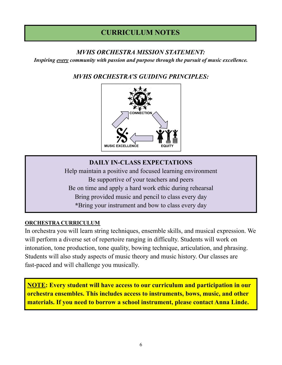## **CURRICULUM NOTES**

#### *MVHS ORCHESTRA MISSION STATEMENT:*

*Inspiring every community with passion and purpose through the pursuit of music excellence.*

#### *MVHS ORCHESTRA'S GUIDING PRINCIPLES:*



#### **DAILY IN-CLASS EXPECTATIONS**

Help maintain a positive and focused learning environment Be supportive of your teachers and peers Be on time and apply a hard work ethic during rehearsal Bring provided music and pencil to class every day **\***Bring your instrument and bow to class every day

#### **ORCHESTRA CURRICULUM**

In orchestra you will learn string techniques, ensemble skills, and musical expression. We will perform a diverse set of repertoire ranging in difficulty. Students will work on intonation, tone production, tone quality, bowing technique, articulation, and phrasing. Students will also study aspects of music theory and music history. Our classes are fast-paced and will challenge you musically.

**NOTE: Every student will have access to our curriculum and participation in our orchestra ensembles. This includes access to instruments, bows, music, and other materials. If you need to borrow a school instrument, please contact Anna Linde.**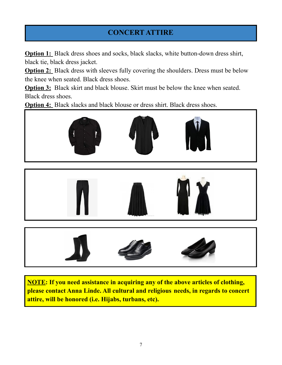## **CONCERT ATTIRE**

**Option 1:** Black dress shoes and socks, black slacks, white button-down dress shirt, black tie, black dress jacket.

**Option 2:** Black dress with sleeves fully covering the shoulders. Dress must be below the knee when seated. Black dress shoes.

**Option 3:** Black skirt and black blouse. Skirt must be below the knee when seated. Black dress shoes.

**Option 4:** Black slacks and black blouse or dress shirt. Black dress shoes.







**NOTE: If you need assistance in acquiring any of the above articles of clothing, please contact Anna Linde. All cultural and religious needs, in regards to concert attire, will be honored (i.e. Hijabs, turbans, etc).**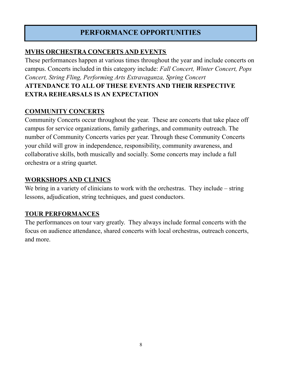## **PERFORMANCE OPPORTUNITIES**

#### **MVHS ORCHESTRA CONCERTS AND EVENTS**

These performances happen at various times throughout the year and include concerts on campus. Concerts included in this category include: *Fall Concert, Winter Concert, Pops Concert, String Fling, Performing Arts Extravaganza, Spring Concert* **ATTENDANCE TO ALL OF THESE EVENTS AND THEIR RESPECTIVE EXTRA REHEARSALS IS AN EXPECTATION**

#### **COMMUNITY CONCERTS**

Community Concerts occur throughout the year. These are concerts that take place off campus for service organizations, family gatherings, and community outreach. The number of Community Concerts varies per year. Through these Community Concerts your child will grow in independence, responsibility, community awareness, and collaborative skills, both musically and socially. Some concerts may include a full orchestra or a string quartet.

#### **WORKSHOPS AND CLINICS**

We bring in a variety of clinicians to work with the orchestras. They include – string lessons, adjudication, string techniques, and guest conductors.

#### **TOUR PERFORMANCES**

The performances on tour vary greatly. They always include formal concerts with the focus on audience attendance, shared concerts with local orchestras, outreach concerts, and more.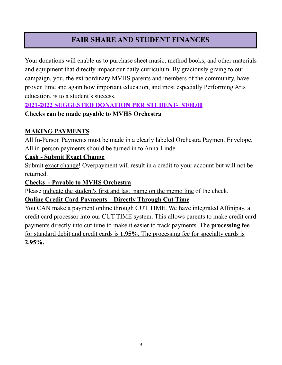## **FAIR SHARE AND STUDENT FINANCES**

Your donations will enable us to purchase sheet music, method books, and other materials and equipment that directly impact our daily curriculum. By graciously giving to our campaign, you, the extraordinary MVHS parents and members of the community, have proven time and again how important education, and most especially Performing Arts education, is to a student's success.

#### **2021-2022 SUGGESTED DONATION PER STUDENT- \$100.00**

#### **Checks can be made payable to MVHS Orchestra**

#### **MAKING PAYMENTS**

All In-Person Payments must be made in a clearly labeled Orchestra Payment Envelope. All in-person payments should be turned in to Anna Linde.

#### **Cash - Submit Exact Change**

Submit exact change! Overpayment will result in a credit to your account but will not be returned.

#### **Checks - Payable to MVHS Orchestra**

Please indicate the student's first and last name on the memo line of the check.

#### **Online Credit Card Payments – Directly Through Cut Time**

You CAN make a payment online through CUT TIME. We have integrated Affinipay, a credit card processor into our CUT TIME system. This allows parents to make credit card payments directly into cut time to make it easier to track payments. The **processing fee** for standard debit and credit cards is **1.95%.** The processing fee for specialty cards is **2.95%.**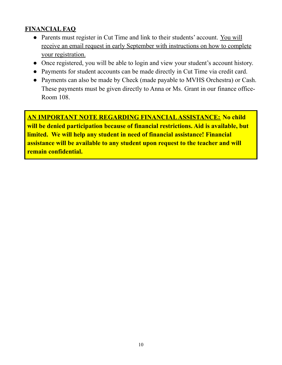#### **FINANCIAL FAQ**

- Parents must register in Cut Time and link to their students' account. You will receive an email request in early September with instructions on how to complete your registration.
- Once registered, you will be able to login and view your student's account history.
- Payments for student accounts can be made directly in Cut Time via credit card.
- Payments can also be made by Check (made payable to MVHS Orchestra) or Cash. These payments must be given directly to Anna or Ms. Grant in our finance office-Room 108.

**AN IMPORTANT NOTE REGARDING FINANCIALASSISTANCE: No child will be denied participation because of financial restrictions. Aid is available, but limited. We will help any student in need of financial assistance! Financial assistance will be available to any student upon request to the teacher and will remain confidential.**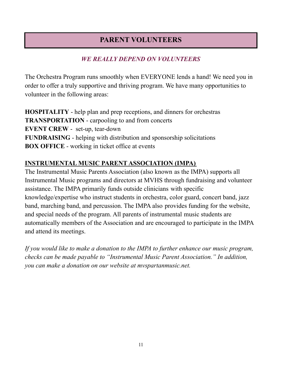## **PARENT VOLUNTEERS**

### *WE REALLY DEPEND ON VOLUNTEERS*

The Orchestra Program runs smoothly when EVERYONE lends a hand! We need you in order to offer a truly supportive and thriving program. We have many opportunities to volunteer in the following areas:

**HOSPITALITY** - help plan and prep receptions, and dinners for orchestras **TRANSPORTATION** - carpooling to and from concerts **EVENT CREW** - set-up, tear-down **FUNDRAISING** - helping with distribution and sponsorship solicitations **BOX OFFICE** - working in ticket office at events

#### **INSTRUMENTAL MUSIC PARENT ASSOCIATION (IMPA)**

The Instrumental Music Parents Association (also known as the IMPA) supports all Instrumental Music programs and directors at MVHS through fundraising and volunteer assistance. The IMPA primarily funds outside clinicians with specific knowledge/expertise who instruct students in orchestra, color guard, concert band, jazz band, marching band, and percussion. The IMPA also provides funding for the website, and special needs of the program. All parents of instrumental music students are automatically members of the Association and are encouraged to participate in the IMPA and attend its meetings.

*If you would like to make a donation to the IMPA to further enhance our music program, checks can be made payable to "Instrumental Music Parent Association." In addition, you can make a donation on our website at mvspartanmusic.net.*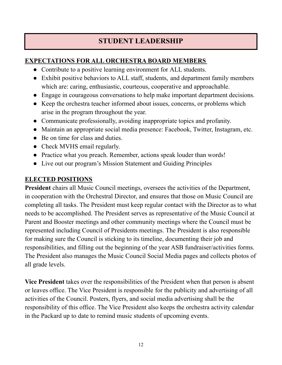## **STUDENT LEADERSHIP**

#### **EXPECTATIONS FOR ALL ORCHESTRA BOARD MEMBERS**

- Contribute to a positive learning environment for ALL students.
- Exhibit positive behaviors to ALL staff, students, and department family members which are: caring, enthusiastic, courteous, cooperative and approachable.
- Engage in courageous conversations to help make important department decisions.
- Keep the orchestra teacher informed about issues, concerns, or problems which arise in the program throughout the year.
- Communicate professionally, avoiding inappropriate topics and profanity.
- Maintain an appropriate social media presence: Facebook, Twitter, Instagram, etc.
- Be on time for class and duties.
- Check MVHS email regularly.
- Practice what you preach. Remember, actions speak louder than words!
- Live out our program's Mission Statement and Guiding Principles

#### **ELECTED POSITIONS**

**President** chairs all Music Council meetings, oversees the activities of the Department, in cooperation with the Orchestral Director, and ensures that those on Music Council are completing all tasks. The President must keep regular contact with the Director as to what needs to be accomplished. The President serves as representative of the Music Council at Parent and Booster meetings and other community meetings where the Council must be represented including Council of Presidents meetings. The President is also responsible for making sure the Council is sticking to its timeline, documenting their job and responsibilities, and filling out the beginning of the year ASB fundraiser/activities forms. The President also manages the Music Council Social Media pages and collects photos of all grade levels.

**Vice President** takes over the responsibilities of the President when that person is absent or leaves office. The Vice President is responsible for the publicity and advertising of all activities of the Council. Posters, flyers, and social media advertising shall be the responsibility of this office. The Vice President also keeps the orchestra activity calendar in the Packard up to date to remind music students of upcoming events.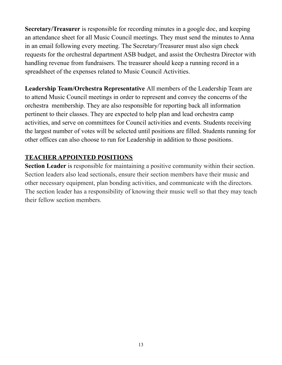**Secretary/Treasurer** is responsible for recording minutes in a google doc, and keeping an attendance sheet for all Music Council meetings. They must send the minutes to Anna in an email following every meeting. The Secretary/Treasurer must also sign check requests for the orchestral department ASB budget, and assist the Orchestra Director with handling revenue from fundraisers. The treasurer should keep a running record in a spreadsheet of the expenses related to Music Council Activities.

**Leadership Team/Orchestra Representative** All members of the Leadership Team are to attend Music Council meetings in order to represent and convey the concerns of the orchestra membership. They are also responsible for reporting back all information pertinent to their classes. They are expected to help plan and lead orchestra camp activities, and serve on committees for Council activities and events. Students receiving the largest number of votes will be selected until positions are filled. Students running for other offices can also choose to run for Leadership in addition to those positions.

#### **TEACHER APPOINTED POSITIONS**

**Section Leader** is responsible for maintaining a positive community within their section. Section leaders also lead sectionals, ensure their section members have their music and other necessary equipment, plan bonding activities, and communicate with the directors. The section leader has a responsibility of knowing their music well so that they may teach their fellow section members.